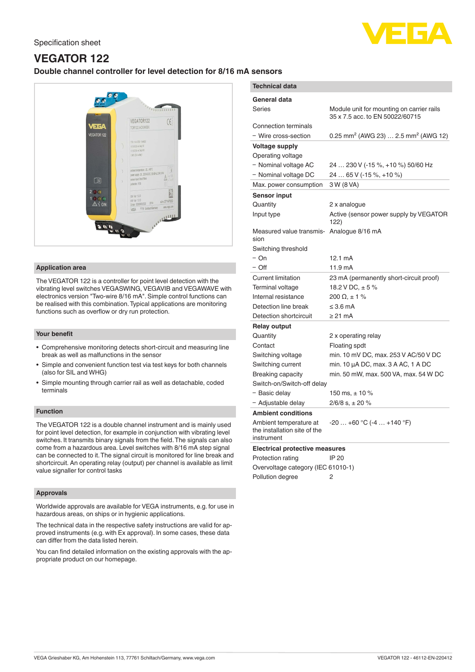

# **VEGATOR 122 Double channel controller for level detection for 8/16 mA sensors**



## **Application area**

The VEGATOR 122 is a controller for point level detection with the vibrating level switches VEGASWING, VEGAVIB and VEGAWAVE with electronics version "Two-wire 8/16 mA". Simple control functions can be realised with this combination. Typical applications are monitoring functions such as overflow or dry run protection.

#### **Your benefit**

- Comprehensive monitoring detects short-circuit and measuring line break as well as malfunctions in the sensor
- Simple and convenient function test via test keys for both channels (also for SIL and WHG)
- Simple mounting through carrier rail as well as detachable, coded terminals

# **Function**

The VEGATOR 122 is a double channel instrument and is mainly used for point level detection, for example in conjunction with vibrating level switches. It transmits binary signals from the field. The signals can also come from a hazardous area. Level switches with 8/16 mA step signal can be connected to it. The signal circuit is monitored for line break and shortcircuit. An operating relay (output) per channel is available as limit value signaller for control tasks

#### **Approvals**

Worldwide approvals are available for VEGA instruments, e.g. for use in hazardous areas, on ships or in hygienic applications.

The technical data in the respective safety instructions are valid for approved instruments (e.g. with Ex approval). In some cases, these data can differ from the data listed herein.

You can find detailed information on the existing approvals with the appropriate product on our homepage.

| <b>Technical data</b>                                                |                                                                              |
|----------------------------------------------------------------------|------------------------------------------------------------------------------|
| General data                                                         |                                                                              |
| Series                                                               | Module unit for mounting on carrier rails<br>35 x 7.5 acc. to EN 50022/60715 |
| Connection terminals<br>- Wire cross-section                         | 0.25 mm <sup>2</sup> (AWG 23)  2.5 mm <sup>2</sup> (AWG 12)                  |
| <b>Voltage supply</b>                                                |                                                                              |
| Operating voltage                                                    |                                                                              |
| - Nominal voltage AC                                                 | 24  230 V (-15 %, +10 %) 50/60 Hz                                            |
| - Nominal voltage DC                                                 | 24  65 V (-15 %, +10 %)                                                      |
| Max. power consumption                                               | 3 W (8 VA)                                                                   |
| <b>Sensor input</b>                                                  |                                                                              |
| Quantity                                                             | 2 x analogue                                                                 |
| Input type                                                           | Active (sensor power supply by VEGATOR<br>122)                               |
| Measured value transmis- Analogue 8/16 mA<br>sion                    |                                                                              |
| Switching threshold                                                  |                                                                              |
| – On                                                                 | 12.1 mA                                                                      |
| – Off                                                                | 11.9 mA                                                                      |
| <b>Current limitation</b>                                            | 23 mA (permanently short-circuit proof)                                      |
| <b>Terminal voltage</b>                                              | 18.2 V DC, $\pm$ 5 %                                                         |
| Internal resistance                                                  | $200 \Omega + 1 \%$                                                          |
| Detection line break                                                 | $\leq$ 3.6 mA                                                                |
| Detection shortcircuit                                               | $\geq$ 21 mA                                                                 |
| <b>Relay output</b>                                                  |                                                                              |
| Quantity                                                             | 2 x operating relay                                                          |
| Contact                                                              | Floating spdt                                                                |
| Switching voltage                                                    | min. 10 mV DC, max. 253 V AC/50 V DC                                         |
| Switching current                                                    | min. 10 µA DC, max. 3 A AC, 1 A DC                                           |
| <b>Breaking capacity</b>                                             | min. 50 mW, max. 500 VA, max. 54 W DC                                        |
| Switch-on/Switch-off delay                                           |                                                                              |
| - Basic delay                                                        | 150 ms, $\pm$ 10 %                                                           |
| - Adjustable delay                                                   | $2/6/8$ s, $\pm 20$ %                                                        |
| <b>Ambient conditions</b>                                            |                                                                              |
| Ambient temperature at<br>the installation site of the<br>instrument | $-20+60 °C (-4+140 °F)$                                                      |
| <b>Electrical protective measures</b>                                |                                                                              |
| <b>Protection rating</b>                                             | IP 20                                                                        |
|                                                                      |                                                                              |

Overvoltage category (IEC 61010-1) Pollution degree 2